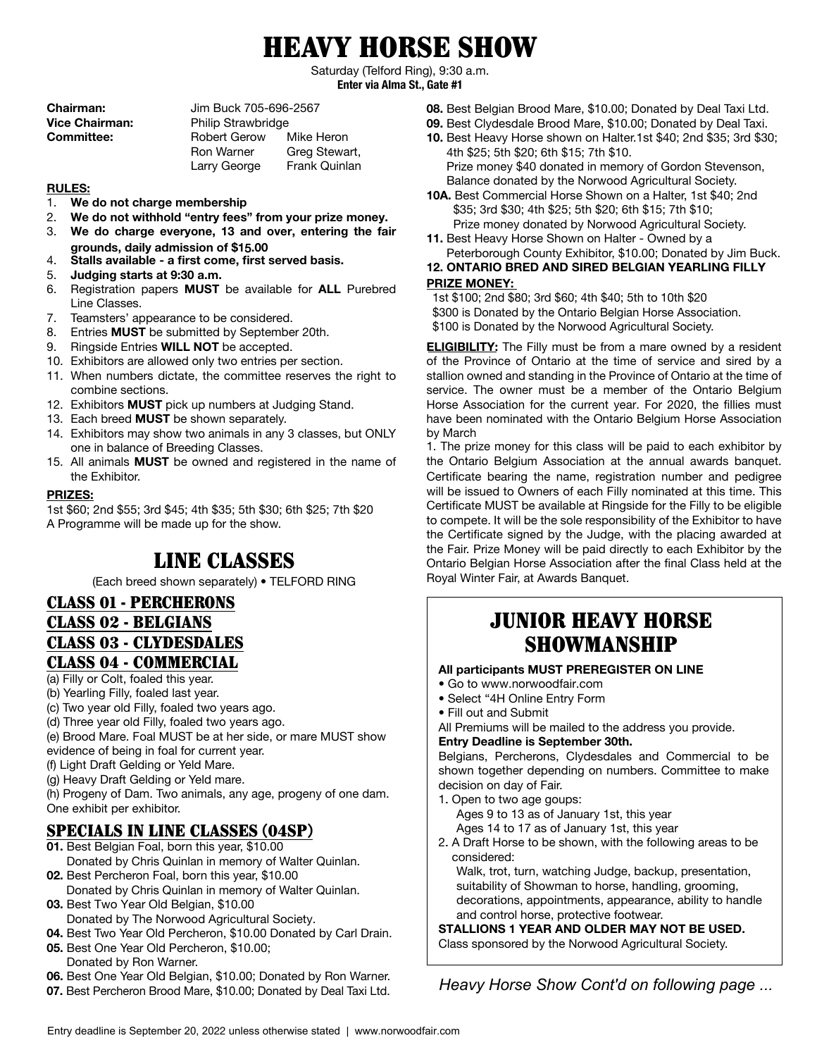# HEAVY HORSE SHOW

Saturday (Telford Ring), 9:30 a.m. **Enter via Alma St., Gate #1**

| <b>Chairman:</b>      | Jim Buck 705-696-2567     |               |
|-----------------------|---------------------------|---------------|
| <b>Vice Chairman:</b> | <b>Philip Strawbridge</b> |               |
| <b>Committee:</b>     | Robert Gerow              | Mike Heron    |
|                       | <b>Ron Warner</b>         | Greg Stewart, |
|                       | Larry George              | Frank Quinlan |

#### **RULES:**

- 1. **We do not charge membership**
- 2. **We do not withhold "entry fees" from your prize money.**
- 3. **We do charge everyone, 13 and over, entering the fair grounds, daily admission of \$1**5**.00**
- 4. **Stalls available a first come, first served basis.**
- 5. **Judging starts at 9:30 a.m.**
- 6. Registration papers **MUST** be available for **ALL** Purebred Line Classes.
- 7. Teamsters' appearance to be considered.
- 8. Entries **MUST** be submitted by September 20th.
- 9. Ringside Entries **WILL NOT** be accepted.
- 10. Exhibitors are allowed only two entries per section.
- 11. When numbers dictate, the committee reserves the right to combine sections.
- 12. Exhibitors **MUST** pick up numbers at Judging Stand.
- 13. Each breed **MUST** be shown separately.
- 14. Exhibitors may show two animals in any 3 classes, but ONLY one in balance of Breeding Classes.
- 15. All animals **MUST** be owned and registered in the name of the Exhibitor.

#### **PRIZES:**

1st \$60; 2nd \$55; 3rd \$45; 4th \$35; 5th \$30; 6th \$25; 7th \$20 A Programme will be made up for the show.

# LINE CLASSES

(Each breed shown separately) • TELFORD RING

#### CLASS 01 - PERCHERONS

### CLASS 02 - BELGIANS

# CLASS 03 - CLYDESDALES CLASS 04 - COMMERCIAL

# (a) Filly or Colt, foaled this year.

- 
- (b) Yearling Filly, foaled last year.
- (c) Two year old Filly, foaled two years ago.
- (d) Three year old Filly, foaled two years ago.
- (e) Brood Mare. Foal MUST be at her side, or mare MUST show evidence of being in foal for current year.
- (f) Light Draft Gelding or Yeld Mare.
- (g) Heavy Draft Gelding or Yeld mare.

(h) Progeny of Dam. Two animals, any age, progeny of one dam. One exhibit per exhibitor.

# SPECIALS IN LINE CLASSES (04SP)

- **01.** Best Belgian Foal, born this year, \$10.00
- Donated by Chris Quinlan in memory of Walter Quinlan. **02.** Best Percheron Foal, born this year, \$10.00
- Donated by Chris Quinlan in memory of Walter Quinlan. **03.** Best Two Year Old Belgian, \$10.00
- Donated by The Norwood Agricultural Society.
- **04.** Best Two Year Old Percheron, \$10.00 Donated by Carl Drain.
- **05.** Best One Year Old Percheron, \$10.00; Donated by Ron Warner.
- **06.** Best One Year Old Belgian, \$10.00; Donated by Ron Warner.
- **07.** Best Percheron Brood Mare, \$10.00; Donated by Deal Taxi Ltd.
- **08.** Best Belgian Brood Mare, \$10.00; Donated by Deal Taxi Ltd.
- **09.** Best Clydesdale Brood Mare, \$10.00; Donated by Deal Taxi.
- **10.** Best Heavy Horse shown on Halter.1st \$40; 2nd \$35; 3rd \$30; 4th \$25; 5th \$20; 6th \$15; 7th \$10. Prize money \$40 donated in memory of Gordon Stevenson, Balance donated by the Norwood Agricultural Society.
- **10A.** Best Commercial Horse Shown on a Halter, 1st \$40; 2nd \$35; 3rd \$30; 4th \$25; 5th \$20; 6th \$15; 7th \$10; Prize money donated by Norwood Agricultural Society.
- **11.** Best Heavy Horse Shown on Halter Owned by a Peterborough County Exhibitor, \$10.00; Donated by Jim Buck.

#### **12. ONTARIO BRED AND SIRED BELGIAN YEARLING FILLY PRIZE MONEY:**

1st \$100; 2nd \$80; 3rd \$60; 4th \$40; 5th to 10th \$20 \$300 is Donated by the Ontario Belgian Horse Association. \$100 is Donated by the Norwood Agricultural Society.

**ELIGIBILITY:** The Filly must be from a mare owned by a resident of the Province of Ontario at the time of service and sired by a stallion owned and standing in the Province of Ontario at the time of service. The owner must be a member of the Ontario Belgium Horse Association for the current year. For 2020, the fillies must have been nominated with the Ontario Belgium Horse Association by March

1. The prize money for this class will be paid to each exhibitor by the Ontario Belgium Association at the annual awards banquet. Certificate bearing the name, registration number and pedigree will be issued to Owners of each Filly nominated at this time. This Certificate MUST be available at Ringside for the Filly to be eligible to compete. It will be the sole responsibility of the Exhibitor to have the Certificate signed by the Judge, with the placing awarded at the Fair. Prize Money will be paid directly to each Exhibitor by the Ontario Belgian Horse Association after the final Class held at the Royal Winter Fair, at Awards Banquet.

# SHOWMANSHIP JUNIOR HEAVY HORSE

#### **All participants MUST PREREGISTER ON LINE**

- Go to www.norwoodfair.com
- Select "4H Online Entry Form
- Fill out and Submit

All Premiums will be mailed to the address you provide.

#### **Entry Deadline is September 30th.**

Belgians, Percherons, Clydesdales and Commercial to be shown together depending on numbers. Committee to make decision on day of Fair.

- 1. Open to two age goups:
	- Ages 9 to 13 as of January 1st, this year Ages 14 to 17 as of January 1st, this year
- 2. A Draft Horse to be shown, with the following areas to be considered:

Walk, trot, turn, watching Judge, backup, presentation, suitability of Showman to horse, handling, grooming, decorations, appointments, appearance, ability to handle and control horse, protective footwear.

**STALLIONS 1 YEAR AND OLDER MAY NOT BE USED.** Class sponsored by the Norwood Agricultural Society.

*Heavy Horse Show Cont'd on following page ...*